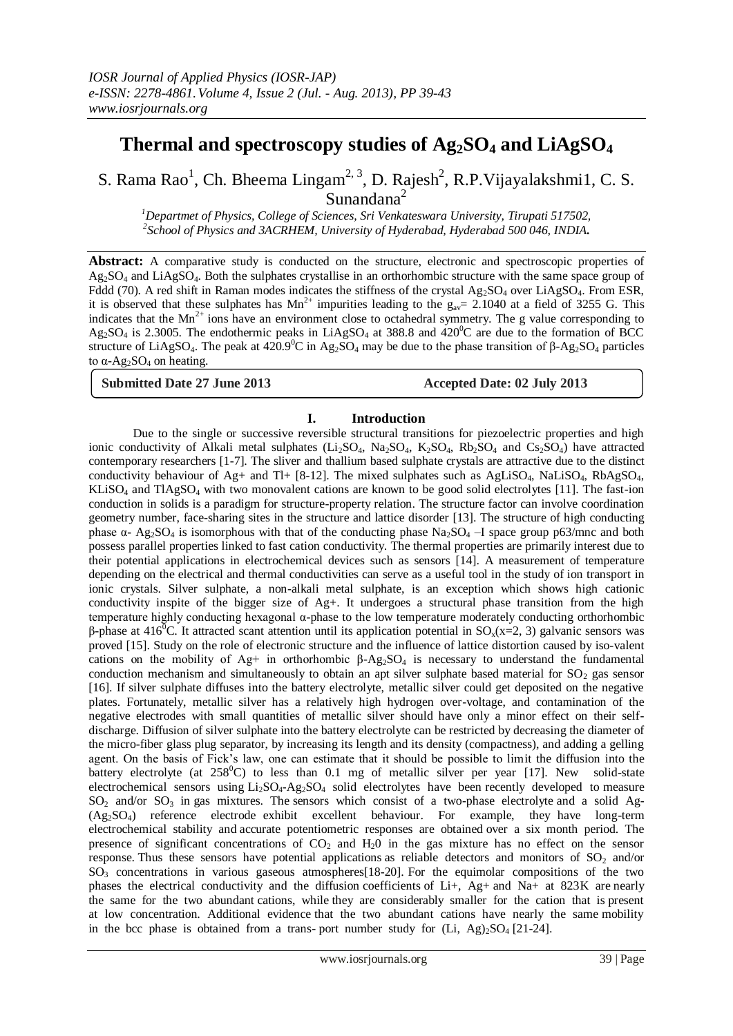# **Thermal and spectroscopy studies of Ag2SO<sup>4</sup> and LiAgSO<sup>4</sup>**

S. Rama Rao<sup>1</sup>, Ch. Bheema Lingam<sup>2, 3</sup>, D. Rajesh<sup>2</sup>, R.P. Vijayalakshmi1, C. S. Sunandana<sup>2</sup>

*<sup>1</sup>Departmet of Physics, College of Sciences, Sri Venkateswara University, Tirupati 517502, 2 School of Physics and 3ACRHEM, University of Hyderabad, Hyderabad 500 046, INDIA.*

Abstract: A comparative study is conducted on the structure, electronic and spectroscopic properties of Ag2SO<sup>4</sup> and LiAgSO4. Both the sulphates crystallise in an orthorhombic structure with the same space group of Fddd (70). A red shift in Raman modes indicates the stiffness of the crystal  $Ag_2SO_4$  over LiAgSO<sub>4</sub>. From ESR, it is observed that these sulphates has  $Mn^{2+}$  impurities leading to the  $g_{av}= 2.1040$  at a field of 3255 G. This indicates that the  $Mn^{2+}$  ions have an environment close to octahedral symmetry. The g value corresponding to  $Ag_2SO_4$  is 2.3005. The endothermic peaks in LiAgSO<sub>4</sub> at 388.8 and  $420^{\circ}$ C are due to the formation of BCC structure of LiAgSO<sub>4</sub>. The peak at 420.9<sup>0</sup>C in Ag<sub>2</sub>SO<sub>4</sub> may be due to the phase transition of β-Ag<sub>2</sub>SO<sub>4</sub> particles to  $\alpha$ -Ag<sub>2</sub>SO<sub>4</sub> on heating.

**Submitted Date 27 June 2013 Accepted Date: 02 July 2013**

### **I. Introduction**

Due to the single or successive reversible structural transitions for piezoelectric properties and high ionic conductivity of Alkali metal sulphates  $(Li_2SO_4, Na_2SO_4, K_2SO_4, Rb_2SO_4$  and  $Cs_2SO_4$ ) have attracted contemporary researchers [1-7]. The sliver and thallium based sulphate crystals are attractive due to the distinct conductivity behaviour of Ag+ and Tl+  $[8-12]$ . The mixed sulphates such as AgLiSO<sub>4</sub>, NaLiSO<sub>4</sub>, RbAgSO<sub>4</sub>,  $KLiSO<sub>4</sub>$  and  $TLAgSO<sub>4</sub>$  with two monovalent cations are known to be good solid electrolytes [11]. The fast-ion conduction in solids is a paradigm for structure-property relation. The structure factor can involve coordination geometry number, face-sharing sites in the structure and lattice disorder [13]. The structure of high conducting phase  $\alpha$ - Ag<sub>2</sub>SO<sub>4</sub> is isomorphous with that of the conducting phase Na<sub>2</sub>SO<sub>4</sub> –I space group p63/mnc and both possess parallel properties linked to fast cation conductivity. The thermal properties are primarily interest due to their potential applications in electrochemical devices such as sensors [14]. A measurement of temperature depending on the electrical and thermal conductivities can serve as a useful tool in the study of ion transport in ionic crystals. Silver sulphate, a non-alkali metal sulphate, is an exception which shows high cationic conductivity inspite of the bigger size of Ag+. It undergoes a structural phase transition from the high temperature highly conducting hexagonal α-phase to the low temperature moderately conducting orthorhombic β-phase at 416<sup>0</sup>C. It attracted scant attention until its application potential in SO<sub>x</sub>(x=2, 3) galvanic sensors was proved [15]. Study on the role of electronic structure and the influence of lattice distortion caused by iso-valent cations on the mobility of Ag+ in orthorhombic  $β$ -Ag<sub>2</sub>SO<sub>4</sub> is necessary to understand the fundamental conduction mechanism and simultaneously to obtain an apt silver sulphate based material for  $SO<sub>2</sub>$  gas sensor [16]. If silver sulphate diffuses into the battery electrolyte, metallic silver could get deposited on the negative plates. Fortunately, metallic silver has a relatively high hydrogen over-voltage, and contamination of the negative electrodes with small quantities of metallic silver should have only a minor effect on their selfdischarge. Diffusion of silver sulphate into the battery electrolyte can be restricted by decreasing the diameter of the micro-fiber glass plug separator, by increasing its length and its density (compactness), and adding a gelling agent. On the basis of Fick's law, one can estimate that it should be possible to limit the diffusion into the battery electrolyte (at  $258^{\circ}$ C) to less than 0.1 mg of metallic silver per year [17]. New solid-state electrochemical sensors using  $Li_2SO_4$ -Ag<sub>2</sub>SO<sub>4</sub> solid electrolytes have been recently developed to measure  $SO_2$  and/or  $SO_3$  in gas mixtures. The sensors which consist of a two-phase electrolyte and a solid Ag-(Ag2SO4) reference electrode exhibit excellent behaviour. For example, they have long-term electrochemical stability and accurate potentiometric responses are obtained over a six month period. The presence of significant concentrations of  $CO<sub>2</sub>$  and  $H<sub>2</sub>O$  in the gas mixture has no effect on the sensor response. Thus these sensors have potential applications as reliable detectors and monitors of  $SO_2$  and/or  $SO<sub>3</sub>$  concentrations in various gaseous atmospheres[18-20]. For the equimolar compositions of the two phases the electrical conductivity and the diffusion coefficients of Li+, Ag+ and Na+ at 823K are nearly the same for the two abundant cations, while they are considerably smaller for the cation that is present at low concentration. Additional evidence that the two abundant cations have nearly the same mobility in the bcc phase is obtained from a trans- port number study for  $(Li, Ag)_{2}SO_{4}$  [21-24].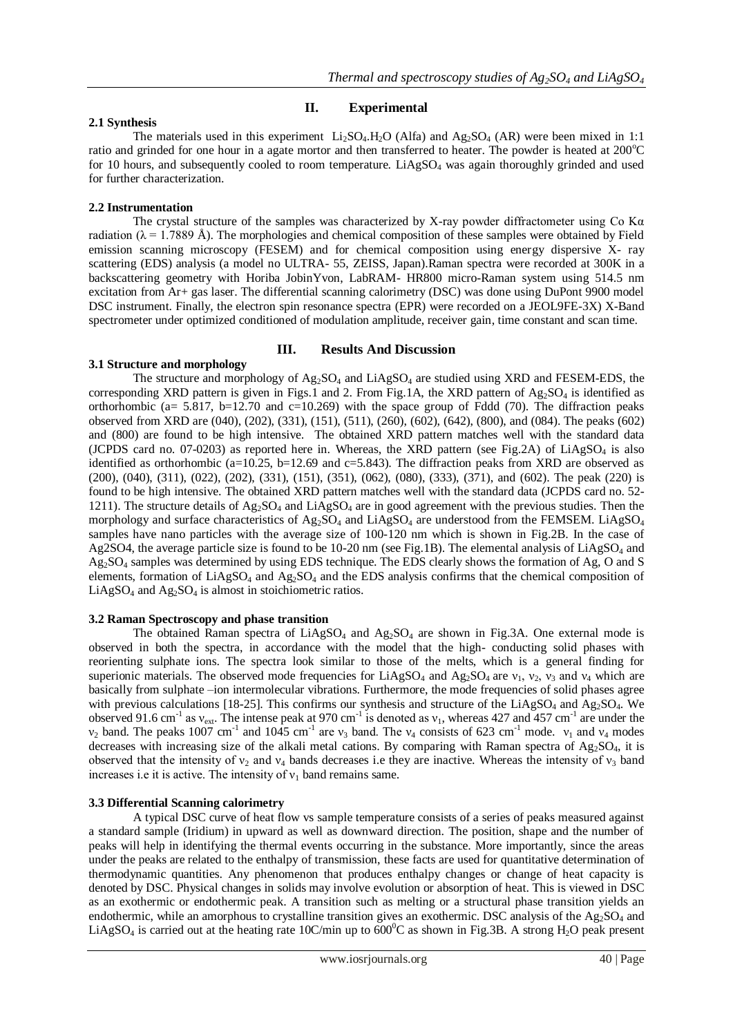# **II. Experimental**

# **2.1 Synthesis**

The materials used in this experiment  $Li_2SO_4$ .H<sub>2</sub>O (Alfa) and Ag<sub>2</sub>SO<sub>4</sub> (AR) were been mixed in 1:1 ratio and grinded for one hour in a agate mortor and then transferred to heater. The powder is heated at  $200^{\circ}$ C for 10 hours, and subsequently cooled to room temperature.  $LiAgSO<sub>4</sub>$  was again thoroughly grinded and used for further characterization.

# **2.2 Instrumentation**

The crystal structure of the samples was characterized by X-ray powder diffractometer using Co K $\alpha$ radiation ( $\lambda = 1.7889$  Å). The morphologies and chemical composition of these samples were obtained by Field emission scanning microscopy (FESEM) and for chemical composition using energy dispersive X- ray scattering (EDS) analysis (a model no ULTRA- 55, ZEISS, Japan).Raman spectra were recorded at 300K in a backscattering geometry with Horiba JobinYvon, LabRAM- HR800 micro-Raman system using 514.5 nm excitation from Ar+ gas laser. The differential scanning calorimetry (DSC) was done using DuPont 9900 model DSC instrument. Finally, the electron spin resonance spectra (EPR) were recorded on a JEOL9FE-3X) X-Band spectrometer under optimized conditioned of modulation amplitude, receiver gain, time constant and scan time.

## **III. Results And Discussion**

**3.1 Structure and morphology** The structure and morphology of Ag<sub>2</sub>SO<sub>4</sub> and LiAgSO<sub>4</sub> are studied using XRD and FESEM-EDS, the corresponding XRD pattern is given in Figs.1 and 2. From Fig.1A, the XRD pattern of  $Ag_2SO_4$  is identified as orthorhombic (a= 5.817, b=12.70 and c=10.269) with the space group of Fddd (70). The diffraction peaks observed from XRD are (040), (202), (331), (151), (511), (260), (602), (642), (800), and (084). The peaks (602) and (800) are found to be high intensive. The obtained XRD pattern matches well with the standard data (JCPDS card no. 07-0203) as reported here in. Whereas, the XRD pattern (see Fig.2A) of  $LiAgSO<sub>4</sub>$  is also identified as orthorhombic ( $a=10.25$ ,  $b=12.69$  and  $c=5.843$ ). The diffraction peaks from XRD are observed as (200), (040), (311), (022), (202), (331), (151), (351), (062), (080), (333), (371), and (602). The peak (220) is found to be high intensive. The obtained XRD pattern matches well with the standard data (JCPDS card no. 52- 1211). The structure details of  $Ag_2SO_4$  and  $LiAgSO_4$  are in good agreement with the previous studies. Then the morphology and surface characteristics of  $Ag_2SO_4$  and  $LiAgSO_4$  are understood from the FEMSEM. LiAgSO<sub>4</sub> samples have nano particles with the average size of 100-120 nm which is shown in Fig.2B. In the case of Ag2SO4, the average particle size is found to be 10-20 nm (see Fig.1B). The elemental analysis of LiAgSO<sup>4</sup> and Ag2SO<sup>4</sup> samples was determined by using EDS technique. The EDS clearly shows the formation of Ag, O and S elements, formation of LiAgSO<sub>4</sub> and Ag<sub>2</sub>SO<sub>4</sub> and the EDS analysis confirms that the chemical composition of  $LiAgSO<sub>4</sub>$  and  $Ag<sub>2</sub>SO<sub>4</sub>$  is almost in stoichiometric ratios.

### **3.2 Raman Spectroscopy and phase transition**

The obtained Raman spectra of  $LiAgSO_4$  and  $Ag_2SO_4$  are shown in Fig.3A. One external mode is observed in both the spectra, in accordance with the model that the high- conducting solid phases with reorienting sulphate ions. The spectra look similar to those of the melts, which is a general finding for superionic materials. The observed mode frequencies for LiAgSO<sub>4</sub> and Ag<sub>2</sub>SO<sub>4</sub> are  $v_1$ ,  $v_2$ ,  $v_3$  and  $v_4$  which are basically from sulphate –ion intermolecular vibrations. Furthermore, the mode frequencies of solid phases agree with previous calculations [18-25]. This confirms our synthesis and structure of the  $LiAgSO<sub>4</sub>$  and Ag<sub>2</sub>SO<sub>4</sub>. We observed 91.6 cm<sup>-1</sup> as  $v_{ext}$ . The intense peak at 970 cm<sup>-1</sup> is denoted as  $v_1$ , whereas 427 and 457 cm<sup>-1</sup> are under the  $v_2$  band. The peaks 1007 cm<sup>-1</sup> and 1045 cm<sup>-1</sup> are  $v_3$  band. The  $v_4$  consists of 623 cm<sup>-1</sup> mode.  $v_1$  and  $v_4$  modes decreases with increasing size of the alkali metal cations. By comparing with Raman spectra of  $A_{2,5}O_4$ , it is observed that the intensity of  $v_2$  and  $v_4$  bands decreases i.e they are inactive. Whereas the intensity of  $v_3$  band increases i.e it is active. The intensity of  $v_1$  band remains same.

# **3.3 Differential Scanning calorimetry**

A typical DSC curve of heat flow vs sample temperature consists of a series of peaks measured against a standard sample (Iridium) in upward as well as downward direction. The position, shape and the number of peaks will help in identifying the thermal events occurring in the substance. More importantly, since the areas under the peaks are related to the enthalpy of transmission, these facts are used for quantitative determination of thermodynamic quantities. Any phenomenon that produces enthalpy changes or change of heat capacity is denoted by DSC. Physical changes in solids may involve evolution or absorption of heat. This is viewed in DSC as an exothermic or endothermic peak. A transition such as melting or a structural phase transition yields an endothermic, while an amorphous to crystalline transition gives an exothermic. DSC analysis of the  $A_2$ ,  $SO_4$  and LiAgSO<sub>4</sub> is carried out at the heating rate 10C/min up to  $600^{\circ}$ C as shown in Fig.3B. A strong H<sub>2</sub>O peak present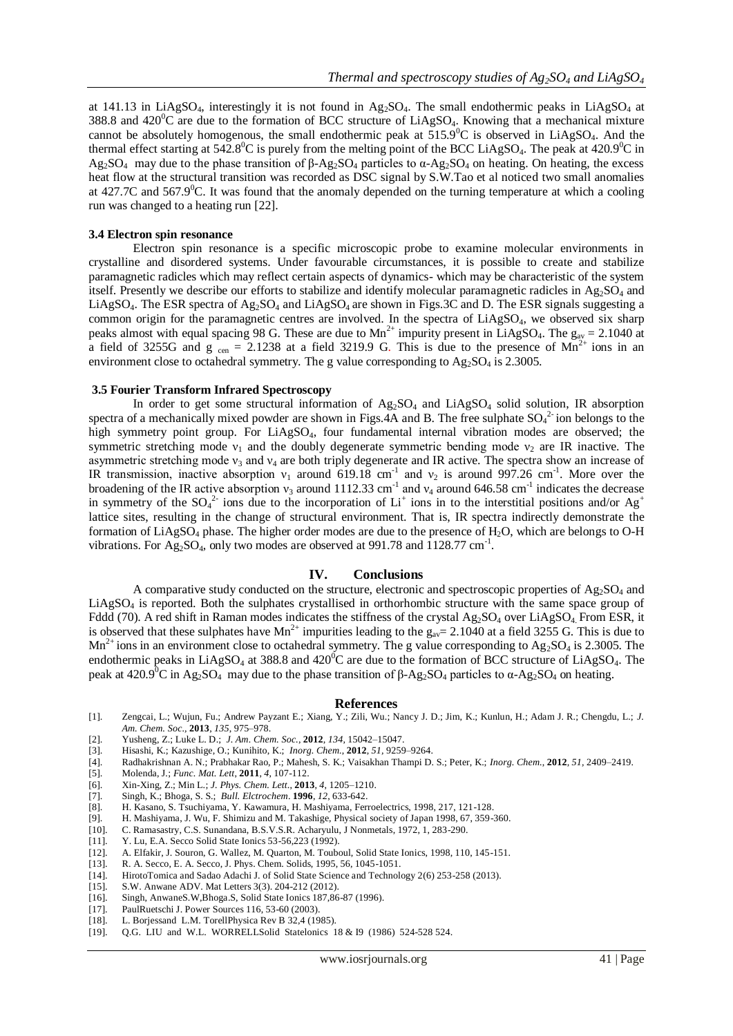at 141.13 in LiAgSO<sub>4</sub>, interestingly it is not found in Ag<sub>2</sub>SO<sub>4</sub>. The small endothermic peaks in LiAgSO<sub>4</sub> at 388.8 and  $420^{\circ}$ C are due to the formation of BCC structure of LiAgSO<sub>4</sub>. Knowing that a mechanical mixture cannot be absolutely homogenous, the small endothermic peak at  $515.9^{\circ}$ C is observed in LiAgSO<sub>4</sub>. And the thermal effect starting at  $542.8^{\circ}$ C is purely from the melting point of the BCC LiAgSO<sub>4</sub>. The peak at  $420.9^{\circ}$ C in Ag<sub>2</sub>SO<sub>4</sub> may due to the phase transition of β-Ag<sub>2</sub>SO<sub>4</sub> particles to  $\alpha$ -Ag<sub>2</sub>SO<sub>4</sub> on heating. On heating, the excess heat flow at the structural transition was recorded as DSC signal by S.W.Tao et al noticed two small anomalies at 427.7C and 567.9 $^{\circ}$ C. It was found that the anomaly depended on the turning temperature at which a cooling run was changed to a heating run [22].

#### **3.4 Electron spin resonance**

Electron spin resonance is a specific microscopic probe to examine molecular environments in crystalline and disordered systems. Under favourable circumstances, it is possible to create and stabilize paramagnetic radicles which may reflect certain aspects of dynamics- which may be characteristic of the system itself. Presently we describe our efforts to stabilize and identify molecular paramagnetic radicles in  $Ag_2SO_4$  and LiAgSO<sub>4</sub>. The ESR spectra of Ag<sub>2</sub>SO<sub>4</sub> and LiAgSO<sub>4</sub> are shown in Figs.3C and D. The ESR signals suggesting a common origin for the paramagnetic centres are involved. In the spectra of LiAgSO<sub>4</sub>, we observed six sharp peaks almost with equal spacing 98 G. These are due to  $Mn^{2+}$  impurity present in LiAgSO<sub>4</sub>. The  $g_{av} = 2.1040$  at a field of 3255G and  $g_{cen} = 2.1238$  at a field 3219.9 G. This is due to the presence of  $Mn^{2+}$  ions in an environment close to octahedral symmetry. The g value corresponding to  $Ag_2SO_4$  is 2.3005.

#### **3.5 Fourier Transform Infrared Spectroscopy**

In order to get some structural information of  $Ag_2SO_4$  and  $LiAgSO_4$  solid solution, IR absorption spectra of a mechanically mixed powder are shown in Figs.4A and B. The free sulphate  $SO_4^2$  ion belongs to the high symmetry point group. For LiAgSO<sub>4</sub>, four fundamental internal vibration modes are observed; the symmetric stretching mode  $v_1$  and the doubly degenerate symmetric bending mode  $v_2$  are IR inactive. The asymmetric stretching mode  $v_3$  and  $v_4$  are both triply degenerate and IR active. The spectra show an increase of IR transmission, inactive absorption  $v_1$  around 619.18 cm<sup>-1</sup> and  $v_2$  is around 997.26 cm<sup>-1</sup>. More over the broadening of the IR active absorption  $v_3$  around 1112.33 cm<sup>-1</sup> and  $v_4$  around 646.58 cm<sup>-1</sup> indicates the decrease in symmetry of the SO<sub>4</sub><sup>2</sup> ions due to the incorporation of Li<sup>+</sup> ions in to the interstitial positions and/or Ag<sup>+</sup> lattice sites, resulting in the change of structural environment. That is, IR spectra indirectly demonstrate the formation of  $LiAgSO<sub>4</sub>$  phase. The higher order modes are due to the presence of  $H<sub>2</sub>O$ , which are belongs to O-H vibrations. For  $Ag_2SO_4$ , only two modes are observed at 991.78 and 1128.77 cm<sup>-1</sup>.

#### **IV. Conclusions**

A comparative study conducted on the structure, electronic and spectroscopic properties of  $A\mathfrak{g}_2$ SO<sub>4</sub> and  $LiAgSO<sub>4</sub>$  is reported. Both the sulphates crystallised in orthorhombic structure with the same space group of Fddd (70). A red shift in Raman modes indicates the stiffness of the crystal  $Ag_2SO_4$  over LiAgSO<sub>4</sub> From ESR, it is observed that these sulphates have  $Mn^{2+}$  impurities leading to the  $g_{av}= 2.1040$  at a field 3255 G. This is due to  $Mn^{2+}$  ions in an environment close to octahedral symmetry. The g value corresponding to Ag<sub>2</sub>SO<sub>4</sub> is 2.3005. The endothermic peaks in LiAgSO<sub>4</sub> at 388.8 and  $420^{\circ}$ C are due to the formation of BCC structure of LiAgSO<sub>4</sub>. The peak at 420.9<sup>0</sup>C in Ag<sub>2</sub>SO<sub>4</sub> may due to the phase transition of β-Ag<sub>2</sub>SO<sub>4</sub> particles to α-Ag<sub>2</sub>SO<sub>4</sub> on heating.

#### **References**

- [1]. Zengcai, L.; Wujun, Fu.; Andrew Payzant E.; Xiang, Y.; Zili, Wu.; Nancy J. D.; Jim, K.; Kunlun, H.; Adam J. R.; Chengdu, L.; *J. Am. Chem. Soc.,* **2013**, *135*, 975–978.
- [2]. Yusheng, Z.; Luke L. D.; *J. Am. Chem. Soc.*, **2012**, *134,* 15042–15047.
- [3]. Hisashi, K.; Kazushige, O.; Kunihito, K.; *Inorg. Chem.*, **2012**, *51,* 9259–9264.
- [4]. Radhakrishnan A. N.; Prabhakar Rao, P.; Mahesh, S. K.; Vaisakhan Thampi D. S.; Peter, K.; *Inorg. Chem.*, **2012**, *51,* 2409–2419.
- [5]. Molenda, J.; *Func. Mat. Lett*, **2011**, *4*, 107-112.
- [6]. Xin-Xing, Z.; Min L.; *J. Phys. Chem. Lett*., **2013**, *4*, 1205–1210.
- [7]. Singh, K.; Bhoga, S. S.; *Bull. Elctrochem*. **1996**, *12*, 633-642.
- [8]. H. Kasano, S. Tsuchiyama, Y. Kawamura, H. Mashiyama, Ferroelectrics, 1998, 217, 121-128.
- [9]. H. Mashiyama, J. Wu, F. Shimizu and M. Takashige, Physical society of Japan 1998, 67, 359-360.
- [10]. C. Ramasastry, C.S. Sunandana, B.S.V.S.R. Acharyulu, J Nonmetals, 1972, 1, 283-290.
- [11]. Y. Lu, E.A. Secco Solid State Ionics 53-56,223 (1992).
- [12]. A. Elfakir, J. Souron, G. Wallez, M. Quarton, M. Touboul, Solid State Ionics, 1998, 110, 145-151.
- [13]. R. A. Secco, E. A. Secco, J. Phys. Chem. Solids, 1995, 56, 1045-1051.
- [14]. HirotoTomica and Sadao Adachi J. of Solid State Science and Technology 2(6) 253-258 (2013).
- [15]. S.W. Anwane ADV. Mat Letters 3(3). 204-212 (2012).
- [16]. Singh, AnwaneS.W,Bhoga.S, Solid State Ionics 187,86-87 (1996).
- [17]. PaulRuetschi J. Power Sources 116, 53-60 (2003).
- [18]. L. Borjessand L.M. TorellPhysica Rev B 32,4 (1985).
- [19]. Q.G. LIU and W.L. WORRELLSolid Statelonics 18 & I9 (1986) 524-528 524.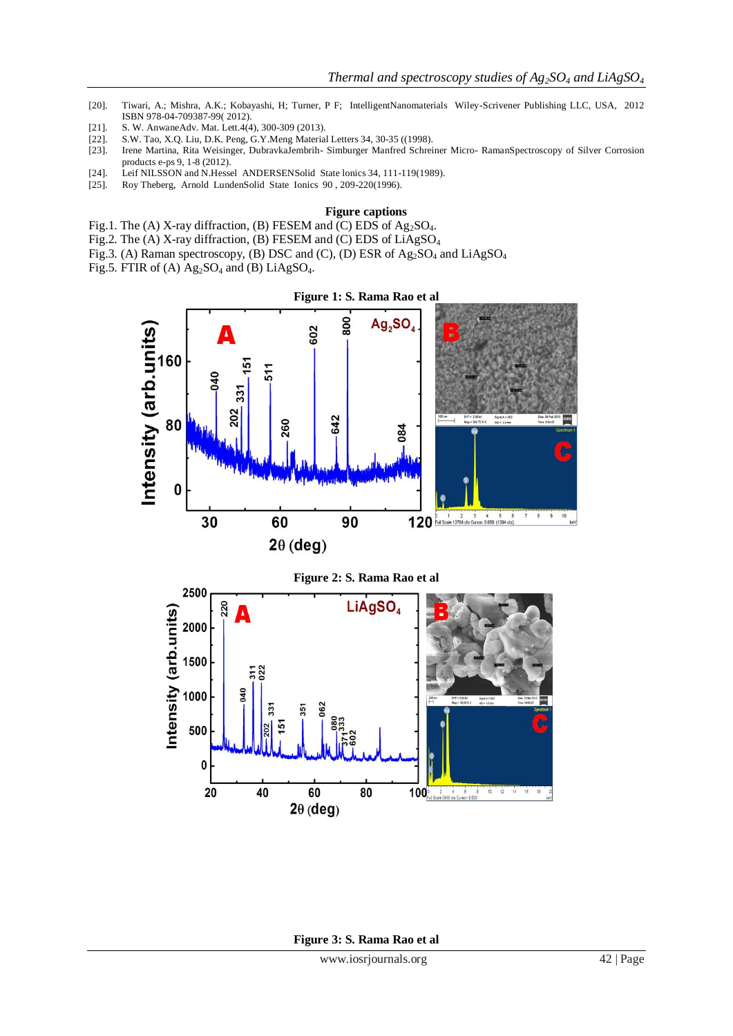- [20]. Tiwari, A.; Mishra, A.K.; Kobayashi, H; Turner, P F; IntelligentNanomaterials Wiley-Scrivener Publishing LLC, USA, 2012 ISBN 978-04-709387-99( 2012).
- [21]. S. W. AnwaneAdv. Mat. Lett.4(4), 300-309 (2013).
- [22]. S.W. Tao, X.Q. Liu, D.K. Peng, G.Y.Meng Material Letters 34, 30-35 ((1998).
- [23]. Irene Martina, Rita Weisinger, DubravkaJembrih- Simburger Manfred Schreiner Micro- RamanSpectroscopy of Silver Corrosion products e-ps 9, 1-8 (2012).
- [24]. Leif NILSSON and N.Hessel ANDERSENSolid State lonics 34, 111-119(1989).
- [25]. Roy Theberg, Arnold LundenSolid State Ionics 90 , 209-220(1996).

#### **Figure captions**

- Fig.1. The (A) X-ray diffraction, (B) FESEM and (C) EDS of Ag<sub>2</sub>SO<sub>4</sub>.
- Fig.2. The (A) X-ray diffraction, (B) FESEM and (C) EDS of LiAgSO<sup>4</sup>
- Fig.3. (A) Raman spectroscopy, (B) DSC and (C), (D) ESR of  $Ag_2SO_4$  and  $LiAgSO_4$
- Fig.5. FTIR of (A)  $Ag_2SO_4$  and (B) LiAgS $O_4$ .

500

 $\mathbf 0$ 

20

40

60

 $2\theta$  (deg)



80

100 2 4 6 8

 $\begin{array}{c|c}\n\hline\n10 & 12\n\end{array}$  $\frac{1}{14}$ 

**Figure 3: S. Rama Rao et al**